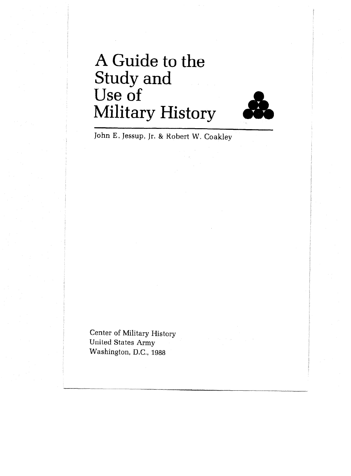# A Guide to the Study and<br>Use of Military History



John E. Jessup, Jr. & Robert W. Coakley

Center of Military History United States Army Washington, D.C., 1988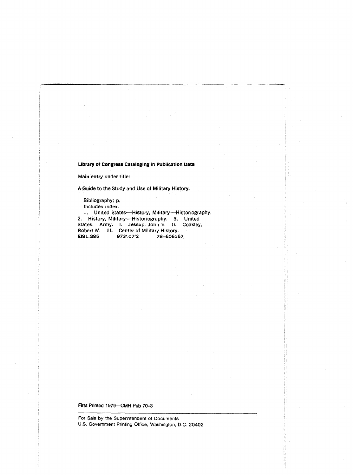Library of Congress Cetaloging in Publication Date

Main entry under title:

A Guide to the Study and Use of Military History.

Bibliography: p. Includes index,

1. United States-History, Military-Historiography. 2. History, Military---Historiography. 3. United<br>States. Army. 1. Jessup, John E. 11. Coakley, States. Army. I. Jessup, John E. II. Robert W. III. Center of Military History.<br>EI81.G85 973'.07'2 78-606157 973'.07'2

First Printed 1979-CMH Pub 70-3

For Sale by the Superintendent of Documents U.S. Government Printing Office, Washington, D.C. 20402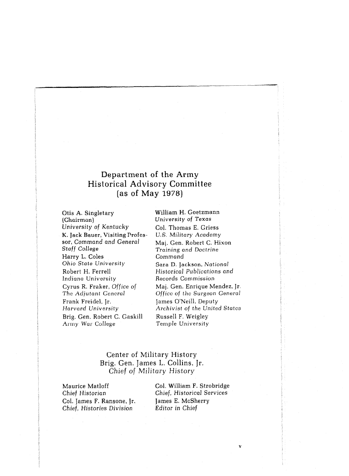# Department of the Army Historical Advisory Committee [as of May 1978)

Otis A. Singletary K. Jack Bauer, Visiting Professor, Command and General (Chairman) University of Kentucky Staff College Harry L. Coles Ohio State University Robert H, Ferrell Indiana University Cyrus R. Fraker, Office of The Adjutant General Frank Freidel, Jr, Harvard University Brig. Gen. Robert C. Gaskill Army War College

William H. Goetzmann University of Texas Col. Thomas E. Griess U.S. Military Academy Maj. Gen. Robert C. Hixon Training and Doctrine Command Sara D. Jackson, National Historical Publications and Records Commission Maj. Gen. Enrique Mendez, Jr, Office of the Surgeon General James O'Neill, Deputy Archivist of the United States Russell F. Weigley

Temple University

# Center of Military History Brig. Gen. James L. Collins, Jr. Chief of Military History

Col. James F. Ransone, Jr. James E. McSherry<br>Chief. Histories Division Belitor in Chief Chief, Histories Division

Maurice Matloff Col. William F. Strobridge Chief, Historical Services

V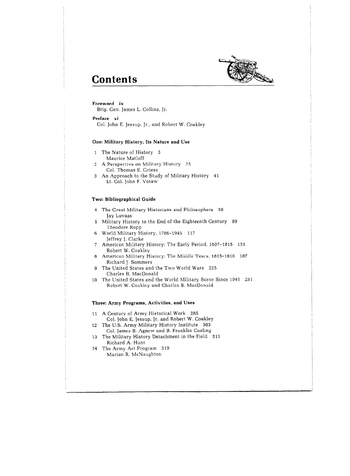

# **Contents**

#### Foreword ix

Brig. Cen. James L. Collins, Jr.

## Preface xi

Col. John E. Jessup, Jr., and Robert W. Coakley

## One: Military History, Its Nature and Use

- 1 The Nature of History 3 Maurice Matloff
- 2 A Perspective on Military History 25 Col. Thomas E. Criess
- 3 An Approach to the Study of Military History 41 Lt. Col. John F. Votaw

## Two: Bibliographical Guide

- 4 The Great Military Historians and Philosophers 59 Jay Luvaas
- 5 Military History ta the End of the Eighteenth Century 89 Theodore Ropp
- 8 World Military History, 1786-1945 117 Jeffrey J. Clarke
- 7 American Military History: The Early Period. 1607-1815 151 Robert W. Coakley
- 8 American Military History: The Middle Years, 1815-1916 187 Richard J. Sommers
- 9 The United States and the Two World Wars 225 Charles B. MacDonald
- 10 The United States and the Warld Military Scene Since 1945 251 Robert W. Coakley and Charles 8. MacDonald

#### Three: Army Programs, Activities, and Uses

- 11 A Century of Army Historical Work 285 Cal. John E. Jessup, Jr. and Robert W. Coakley
- 12 The U.S. Army Military History Institute 303 Col. James B. Agnew and B. Franklin Cooling
- 13 The Military History Detachment in the Field 311 Richard A. Hunt
- 14 The Army Art Program 319 Marian R. McNaugbton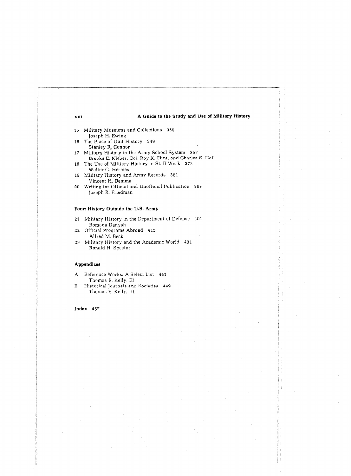## A Guide to the Study and Use of Military History

- 15 Military Museums and Collections 339 Joseph H. Ewing
- 16 The Place of Unit History 349 Stanley R, Connor
- 17 Military History in the Army School System 357 Brooks E. Kleber, Col. Roy K. Flint, and Charles S. Hall
- 16 The Use of Military History in Staff Work 373 Walter G. Hermes
- 19 Military History and Army Records 381 Vincent H. Demma
- 20 Writing for Official and Unofficial Publication 393 Joseph R. Friedman

#### Four: History Outside the U.S. Army

- 21 Military History in the Department of Defense 401 Romana Danysh
- 22 Official Programs Abroad 415 Alfred M. Beck
- 23 Military History and the Academic World 431 Ronald H. Spector

#### Appendices

- A Reference Works: A Select List 441 Thomas E. Kelly, III
- B Historical Journals and Societies 449 Thomas E. Kelly, III

Index 457

viii

r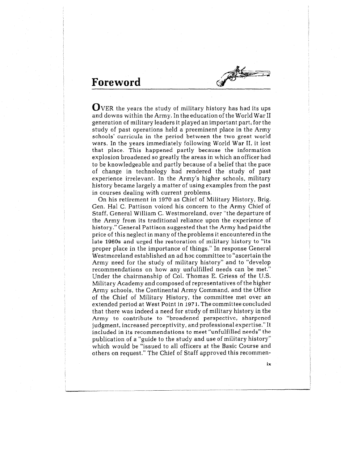# Foreword



PASSER

On his retirement in 1970 as Chief of Military History, Brig. Gen. Hal C. Pattison voiced his concern to the Army Chief of Staff, General William C. Westmoreland, over "the departure of the Army from its traditional reliance upon the experience of history." General Pattison suggested that the Army had paid the price of this neglect in many of the problems it encountered in the late 1960s and urged the restoration of military history to "its proper place in the importance of things." In response General Westmoreland established an ad hoc committee to '"ascertain the Army need for the study of military history" and to "develop recommendations on how any unfulfilled needs can be met.'" Under the chairmanship of Cal. Thomas E. Griess of the U.S. Military Academy and composed of representatives of the higher Army schools, the Continental Army Command, and the Office of the Chief of Military History, the committee met over an extended period at West Point in 1971. The committee concluded that there was indeed a need for study of military history in the Army to contribute to "broadened perspective, sharpened judgment, increased perceptivity, and professional expertise." It included in its recommendations to meet "unfulfilled needs" the publication of a "guide to the study and use of military history" which would be "issued to all officers at the Basic Course and others on request." The Chief of Staff approved this recommen-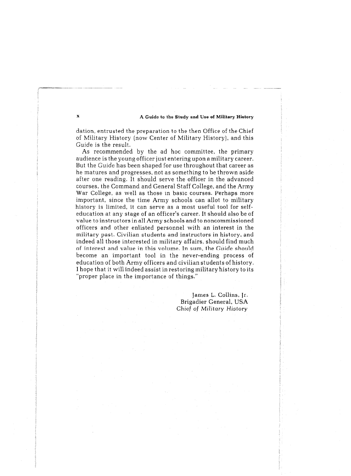-

dation, entrusted the preparation to the then Office of the Chief of Military History (now Center of Military History], and this Guide is the result.

As recommended by the ad hoc committee, the primary audience is the young officer just entering upon a military career. But the Guide has been shaped for use throughout that career as he matures and progresses, not as something to be thrown aside after one reading. It should serve the officer in the advanced courses, the Command and General Staff College, and the Army War College, as well as those in basic courses. Perhaps more important, since the time Army schools can allot to military history is limited, it can serve as a most useful tool for selfeducation at any stage of an officer's career. It should also be of value to instructors in all Army schools and to noncommissioned officers and other enlisted personnel with an interest in the military past. Civilian students and instructors in history, and indeed all those interested in military affairs, should find much of interest and value in this volume. In sum, the Guide should become an important tool in the never-ending process of education of both Army officers and civilian students of history. I hope that it will indeed assist in restoring military history to its "proper place in the importance of things."

> lames L. Collins, Jr. Brigadier General, USA Chief of Military History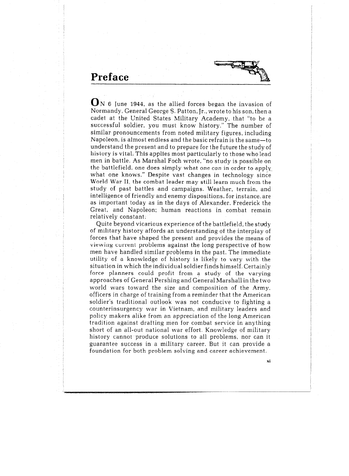

# Preface

 $\mathbf{O}$ N 6 June 1944, as the allied forces began the invasion of Normandy, General George S. Patton, Jr., wrote to his son, then a cadet at the United States Military Academy, that "to be a successful soldier, you must know history." The number of similar pronouncements from noted military figures, including Napoleon, is almost endless and the basic refrain is the same-to understand the present and to prepare for the future the study of history is vital. This applies most particularly to those who lead men in battle. As Marshal Foch wrote, "no study is possible on the battlefield, one does simply what one con in order to apply what one knows." Despite vast changes in technology since World War If, the combat leader may still learn much from the study of past battles and campaigns. Weather, terrain, and intelligence of friendly and enemy dispositions, for instance, are as important today as in the days of Alexander, Frederick the Great, and Napoleon; human reactions in combat remain relatively constant.

Quite beyond vicarious experience of the battlefield, the study of military history affords an understanding of the interplay of forces that have shaped the present and provides the means of viewing current problems against the long perspective af how men have handled similar problems in the past. The immediate utility of a knowledge of history is likely to vary with the situation in which the individual soldier finds himself. Certainly force planners could profit from a study of the varying approaches of General Pershing and General Marshall in the two world wars toward the size and composition of the Army, officers in charge of training from a reminder that the American soldier's traditional outlook was not conducive to fighting a counterinsurgency war in Vietnam, and military leaders and policy makers alike from an appreciation of the long American tradition against drafting men for combat service in anything short of an all-out national war effort. Knowledge of military history cannot produce solutions to all problems, nor can it guarantee success in a military career. But it can provide a foundation for both problem solving and career achievement.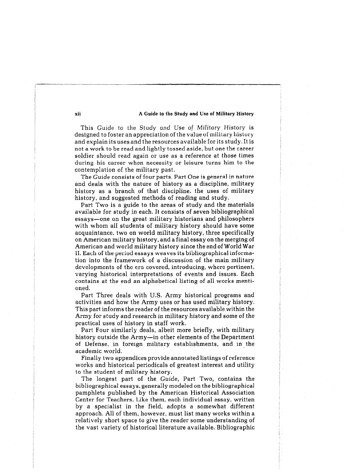This Guide to the Study and Use of Military History is designed to foster an appreciation of the value of military history and explain its uses and the resources available for its study. It is not a work to be read and lightly tossed aside, but one the career soldier should read again or use as a reference at those times during his career when necessity or leisure turns him to the contemplation of the military past.

The Guide consists of four parts, Part One is general in nature and deals with the nature of history as a discipline, military history as a branch of that discipline, the uses of military history, and suggested methods of reading and study.

Part Two is a guide to the areas of study and the materials available for study in each. It consists of seven bibliographical essays—one on the great military historians and philosophers with whom all students of military history should have some acquaintance, two on world military history, three specifically on American military history, and a final essay on the merging of American and world military history since the end of World War II. Each of the period essays weaves its bibliographical information into the framework of a discussion of the main military developments of the era covered, introducing, where pertinent, varying historical interpretations of events and issues. Each contains at the end an alphabetical listing of all works mentioned.

Part Three deals with US. Army historical programs and activities and how the Army uses or has used military history. This part informs the reader of the resources available within the Army for study and research in military history and some of the practical uses of history in staff work.

Part Four similarly deals, albeit more briefly, with military history outside the Army-in other elements of the Department of Defense, in foreign military establishments, and in the academic world.

Finally two appendices provide annotated listings of reference works and historical periodicals of greatest interest and utility to the student of military history,

The longest part of the Guide, Part Two, contains the bibliographical essays, generally modeled on the bibliographical pamphlets published by the American Historical Association Center for Teachers. Like them, each individual essay, written by a specialist in the field, adopts a somewhat different approach. All of them, however, must list many works within a relatively short space to give the reader some understanding of the vast variety of historical literature available. Bibliographic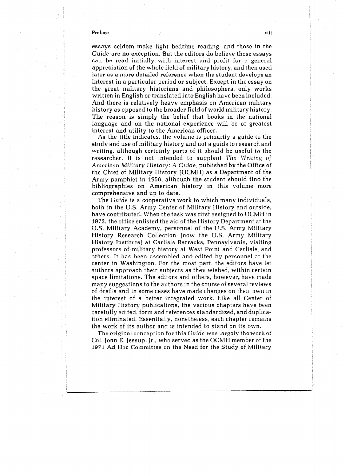# Preface **Example 2018** and 2018 and 2018 and 2018 and 2018 and 2018 and 2018 and 2018 and 2018 and 2018 and 2018 and 2018 and 2018 and 2018 and 2018 and 2018 and 2018 and 2018 and 2018 and 2018 and 2018 and 2018 and 2018 a

essays seldom make light bedtime reading, and those in the Guide are no exception. But the editors do believe these essays can be read initially with interest and profit for a general appreciation of the whole field of military history, and then used later as a more detailed reference when the student develops an interest in a particular period or subject. Except in the essay on the great military historians and philosophers, only works written in English or translated into English have been included. And there is relatively heavy emphasis on American military history as opposed to the broader field of world military history. The reason is simply the belief that books in the national language and on the national experience will be of greatest interest and utility to the American officer.

As the title indicates, the volume is primarily a guide to the study and use of military history and not a guide to research and writing, although certainly parts of it should be useful to the researcher. It is not intended to supplant The Writing of American Military History: A Guide, published by the Office of the Chief of Military History (OCMH) as a Department of the Army pamphlet in 1956, although the student should find the bibliographies on American history in this volume more comprehensive and up to date.

The Guide is a cooperative work to which many individuals, both in the U.S. Army Center of Military History and outside, have contributed. When the task was first assigned to OCMH in 1972, the office enlisted the aid of the History Department at the U.S. Military Academy, personnel of the U.S. Army Military History Research Collection (now the US. Army Military History Institute) at Carlisle Barracks, Pennsylvania, visiting professors of military history at West Point and Carlisle, and others. It has been assembled and edited by personnel at the center in Washington. For the most part, the editors have let authors approach their subjects as they wished, within certain space limitations. The editors and others, however, have made many suggestions to the authors in the course of several reviews of drafts and in some cases have made changes on their own in the interest of a better integrated work. Like all Center of Military History publications, the various chapters have been carefully edited, form and references standardized, and duplication eliminated. Essentially, nonetheless, each chapter remains the work of its author and is intended to stand on its own.

The original conception for this Guide was largely the work of Cal, John E. Jessup, Jr., who served as the OCMH member of the 1971 Ad Hoc Committee on the Need for the Study of Military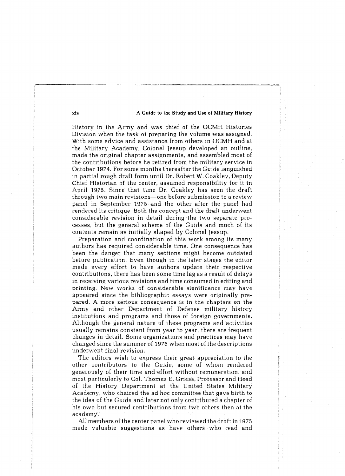History in the Army and was chief of the OCMH Histories Division when the task of preparing the volume was assigned. With some advice and assistance from others in OCMH and at the Military Academy, Colonel Jessup developed an outline, made the original chapter assignments, and assembled most of the contributions before he retired from the military service in October 1974. For some months thereafter the Guide languished in partial rough draft form until Dr. Robert W. Coakley, Deputy Chief Historian of the center, assumed responsibility for it in April 1975. Since that time Dr, Coakley has seen the draft through two main revisions-one before submission to a review panel in September 1975 and the other after the panel had rendered its critique. Both the concept and the draft underwent considerable revision in detail during the two separate processes, but the general scheme of the Guide and much of its contents remain as initially shaped by Colonel Jessup.

Preparation and coordination of this work among its many authors has required considerable time. One consequence has been the danger that many sections might become outdated before publication. Even though in the later stages the editor made every effort to have authors update their respective contributions, there has been some time lag as a result of delays in receiving various revisions and time consumed in editing and printing. New works of considerable significance may have appeared since the bibliographic essays were originally prepared. A more serious consequence is in the chapters on the Army and other Department of Defense military history institutions and programs and those of foreign governments. Although the general nature of these programs and activities usually remains constant from year to year, there are frequent changes in detail, Some organizations and practices may have changed since the summer of 1976 when most of the descriptions underwent final revision.

The editors wish to express their great appreciation to the other contributors to the Guide, some of whom rendered generously of their time and effort without remuneration, and most particularly to Col. Thomas E. Griess, Professor and Head of the History Department at the United States Military Academy, who chaired the ad hoc committee that gave birth to the idea of the Guide and later not only contributed a chapter of his own but secured contributions from two others then at the academy.

All members of the center panel who reviewed the draft in <sup>1975</sup> made valuable suggestions as have others who read and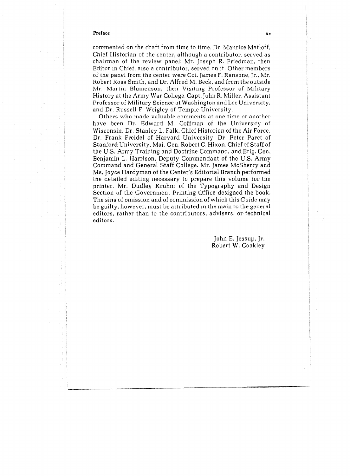## Preface xv

commented on the draft from time to time. Dr. Maurice Matloff, Chief Historian of the center, although a contributor, served as chairman of the review panel; Mr. Joseph R. Friedman, then Editor in Chief, also a contributor, served on it. Other members of the panel from the center were Col. James F. Ransone, Jr,, Mr. Robert Ross Smith, and Dr. Alfred M. Beck, and from the outside Mr. Martin Blumenson, then Visiting Professor of Military History at the Army War College, Capt. John R. Miller, Assistant Professor of Military Science at Washington and Lee University, and Dr. Russell F. Weigley of Temple University.

Others who made valuable camments at one time or another have been Dr. Edward M. Coffman of the University of Wisconsin, Dr. Stanley L. Falk, Chief Historian of the Air Force, Dr. Frank Freidel of Harvard University, Dr. Peter Paret of Stanford University, Maj. Gen. Robert C. Hixon, Chief of Staff of the U.S. Army Training and Doctrine Command, and Brig. Gen. Benjamin L. Harrison, Deputy Commandant of the U.S. Army Command and General Staff College. Mr. James McSherry and Ms. Joyce Hardyman of the Center's Editorial Branch performed the detailed editing necessary to prepare this volume for the printer. Mr. Dudley Kruhm of the Typography and Design Section of the Government Printing Office designed the book. The sins of omission and of commission of which this Guide may be guilty, however, must be attributed in the main to the general editors, rather than to the contributors, advisers, or technical editors.

> John E. Jessup, Jr. Robert W. Coakley